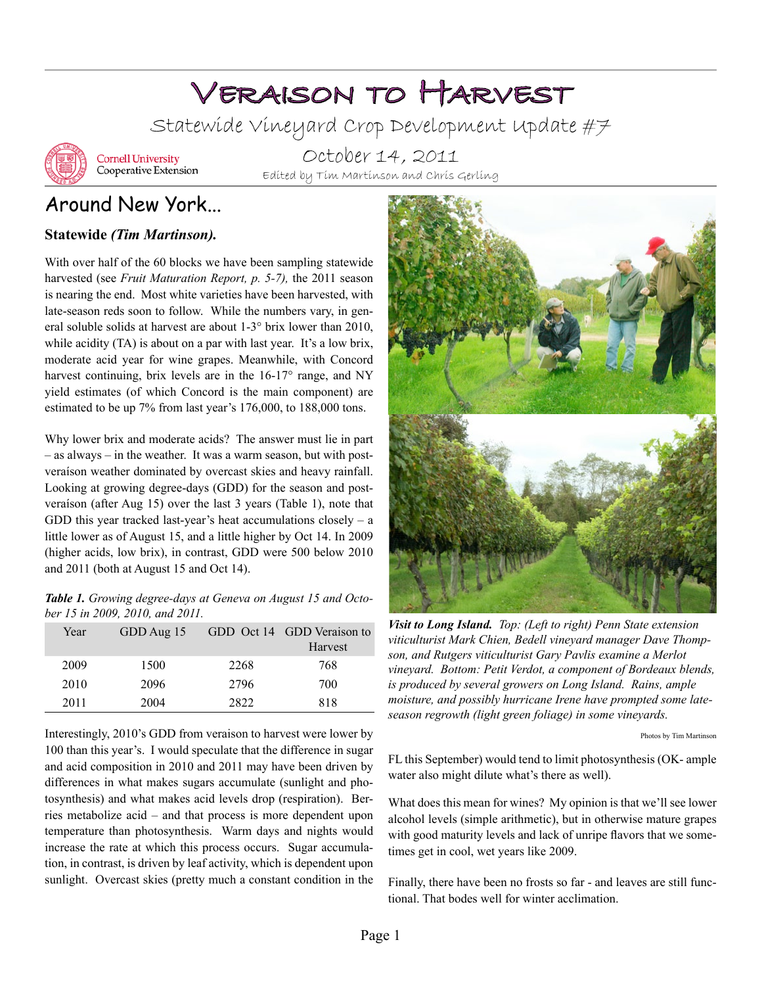# Veraison to Harvest

Statewide Vineyard Crop Development Update #7



**Cornell University** Cooperative Extension

October 14, 2011 Edited by Tim Martinson and Chris Gerling

# Around New York...

### **Statewide** *(Tim Martinson).*

With over half of the 60 blocks we have been sampling statewide harvested (see *Fruit Maturation Report, p. 5-7),* the 2011 season is nearing the end. Most white varieties have been harvested, with late-season reds soon to follow. While the numbers vary, in general soluble solids at harvest are about 1-3° brix lower than 2010, while acidity (TA) is about on a par with last year. It's a low brix, moderate acid year for wine grapes. Meanwhile, with Concord harvest continuing, brix levels are in the 16-17° range, and NY yield estimates (of which Concord is the main component) are estimated to be up 7% from last year's 176,000, to 188,000 tons.

Why lower brix and moderate acids? The answer must lie in part – as always – in the weather. It was a warm season, but with postveraíson weather dominated by overcast skies and heavy rainfall. Looking at growing degree-days (GDD) for the season and postveraíson (after Aug 15) over the last 3 years (Table 1), note that GDD this year tracked last-year's heat accumulations closely  $-$  a little lower as of August 15, and a little higher by Oct 14. In 2009 (higher acids, low brix), in contrast, GDD were 500 below 2010 and 2011 (both at August 15 and Oct 14).

*Table 1. Growing degree-days at Geneva on August 15 and October 15 in 2009, 2010, and 2011.*

| Year | GDD Aug 15 |      | GDD Oct 14 GDD Veraison to |
|------|------------|------|----------------------------|
|      |            |      | Harvest                    |
| 2009 | 1500       | 2268 | 768                        |
| 2010 | 2096       | 2796 | 700                        |
| 2011 | 2004       | 2822 | 818                        |

Interestingly, 2010's GDD from veraison to harvest were lower by 100 than this year's. I would speculate that the difference in sugar and acid composition in 2010 and 2011 may have been driven by differences in what makes sugars accumulate (sunlight and photosynthesis) and what makes acid levels drop (respiration). Berries metabolize acid – and that process is more dependent upon temperature than photosynthesis. Warm days and nights would increase the rate at which this process occurs. Sugar accumulation, in contrast, is driven by leaf activity, which is dependent upon sunlight. Overcast skies (pretty much a constant condition in the



*Visit to Long Island. Top: (Left to right) Penn State extension viticulturist Mark Chien, Bedell vineyard manager Dave Thompson, and Rutgers viticulturist Gary Pavlis examine a Merlot vineyard. Bottom: Petit Verdot, a component of Bordeaux blends, is produced by several growers on Long Island. Rains, ample moisture, and possibly hurricane Irene have prompted some lateseason regrowth (light green foliage) in some vineyards.*

Photos by Tim Martinson

FL this September) would tend to limit photosynthesis (OK- ample water also might dilute what's there as well).

What does this mean for wines? My opinion is that we'll see lower alcohol levels (simple arithmetic), but in otherwise mature grapes with good maturity levels and lack of unripe flavors that we sometimes get in cool, wet years like 2009.

Finally, there have been no frosts so far - and leaves are still functional. That bodes well for winter acclimation.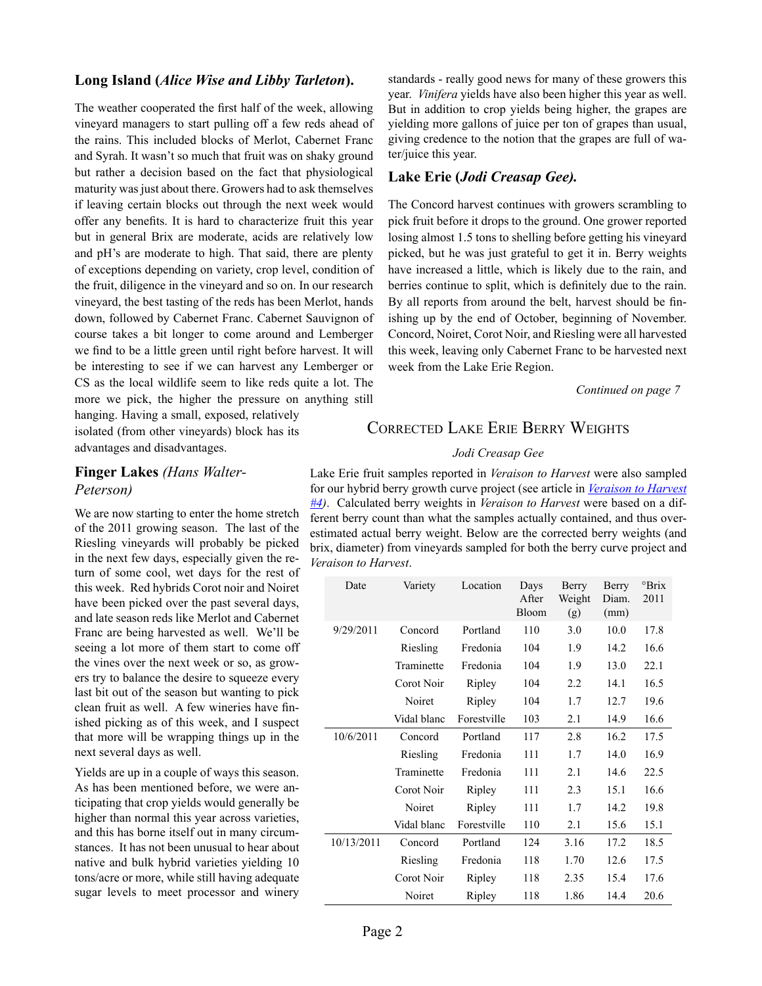#### **Long Island (***Alice Wise and Libby Tarleton***).**

The weather cooperated the first half of the week, allowing vineyard managers to start pulling off a few reds ahead of the rains. This included blocks of Merlot, Cabernet Franc and Syrah. It wasn't so much that fruit was on shaky ground but rather a decision based on the fact that physiological maturity was just about there. Growers had to ask themselves if leaving certain blocks out through the next week would offer any benefits. It is hard to characterize fruit this year but in general Brix are moderate, acids are relatively low and pH's are moderate to high. That said, there are plenty of exceptions depending on variety, crop level, condition of the fruit, diligence in the vineyard and so on. In our research vineyard, the best tasting of the reds has been Merlot, hands down, followed by Cabernet Franc. Cabernet Sauvignon of course takes a bit longer to come around and Lemberger we find to be a little green until right before harvest. It will be interesting to see if we can harvest any Lemberger or CS as the local wildlife seem to like reds quite a lot. The more we pick, the higher the pressure on anything still

hanging. Having a small, exposed, relatively isolated (from other vineyards) block has its advantages and disadvantages.

### **Finger Lakes** *(Hans Walter-Peterson)*

We are now starting to enter the home stretch of the 2011 growing season. The last of the Riesling vineyards will probably be picked in the next few days, especially given the return of some cool, wet days for the rest of this week. Red hybrids Corot noir and Noiret have been picked over the past several days, and late season reds like Merlot and Cabernet Franc are being harvested as well. We'll be seeing a lot more of them start to come off the vines over the next week or so, as growers try to balance the desire to squeeze every last bit out of the season but wanting to pick clean fruit as well. A few wineries have finished picking as of this week, and I suspect that more will be wrapping things up in the next several days as well.

Yields are up in a couple of ways this season. As has been mentioned before, we were anticipating that crop yields would generally be higher than normal this year across varieties, and this has borne itself out in many circumstances. It has not been unusual to hear about native and bulk hybrid varieties yielding 10 tons/acre or more, while still having adequate sugar levels to meet processor and winery

standards - really good news for many of these growers this year. *Vinifera* yields have also been higher this year as well. But in addition to crop yields being higher, the grapes are yielding more gallons of juice per ton of grapes than usual, giving credence to the notion that the grapes are full of water/juice this year.

#### **Lake Erie (***Jodi Creasap Gee).*

The Concord harvest continues with growers scrambling to pick fruit before it drops to the ground. One grower reported losing almost 1.5 tons to shelling before getting his vineyard picked, but he was just grateful to get it in. Berry weights have increased a little, which is likely due to the rain, and berries continue to split, which is definitely due to the rain. By all reports from around the belt, harvest should be finishing up by the end of October, beginning of November. Concord, Noiret, Corot Noir, and Riesling were all harvested this week, leaving only Cabernet Franc to be harvested next week from the Lake Erie Region.

*Continued on page 7*

### Corrected Lake Erie Berry Weights

#### *Jodi Creasap Gee*

Lake Erie fruit samples reported in *Veraison to Harvest* were also sampled for our hybrid berry growth curve project (see article in *[Veraison to Harvest](http://www.cals.cornell.edu/cals/grapesandwine/veraison-to-harvest/upload/Veraison-to-Harvest-2011-4.pdf)  [#4](http://www.cals.cornell.edu/cals/grapesandwine/veraison-to-harvest/upload/Veraison-to-Harvest-2011-4.pdf))*. Calculated berry weights in *Veraison to Harvest* were based on a different berry count than what the samples actually contained, and thus overestimated actual berry weight. Below are the corrected berry weights (and brix, diameter) from vineyards sampled for both the berry curve project and *Veraison to Harvest*.

| Date       | Variety     | Location    | Days<br>After<br>Bloom | Berry<br>Weight<br>(g) | Berry<br>Diam.<br>(mm) | °Brix<br>2011 |
|------------|-------------|-------------|------------------------|------------------------|------------------------|---------------|
| 9/29/2011  | Concord     | Portland    | 110                    | 3.0                    | 10.0                   | 17.8          |
|            | Riesling    | Fredonia    | 104                    | 1.9                    | 14.2                   | 16.6          |
|            | Traminette  | Fredonia    | 104                    | 1.9                    | 13.0                   | 22.1          |
|            | Corot Noir  | Ripley      | 104                    | 2.2                    | 14.1                   | 16.5          |
|            | Noiret      | Ripley      | 104                    | 1.7                    | 12.7                   | 19.6          |
|            | Vidal blanc | Forestville | 103                    | 2.1                    | 14.9                   | 16.6          |
| 10/6/2011  | Concord     | Portland    | 117                    | 2.8                    | 16.2                   | 17.5          |
|            | Riesling    | Fredonia    | 111                    | 1.7                    | 14.0                   | 16.9          |
|            | Traminette  | Fredonia    | 111                    | 2.1                    | 14.6                   | 22.5          |
|            | Corot Noir  | Ripley      | 111                    | 2.3                    | 15.1                   | 16.6          |
|            | Noiret      | Ripley      | 111                    | 1.7                    | 14.2                   | 19.8          |
|            | Vidal blanc | Forestville | 110                    | 2.1                    | 15.6                   | 15.1          |
| 10/13/2011 | Concord     | Portland    | 124                    | 3.16                   | 17.2                   | 18.5          |
|            | Riesling    | Fredonia    | 118                    | 1.70                   | 12.6                   | 17.5          |
|            | Corot Noir  | Ripley      | 118                    | 2.35                   | 15.4                   | 17.6          |
|            | Noiret      | Ripley      | 118                    | 1.86                   | 14.4                   | 20.6          |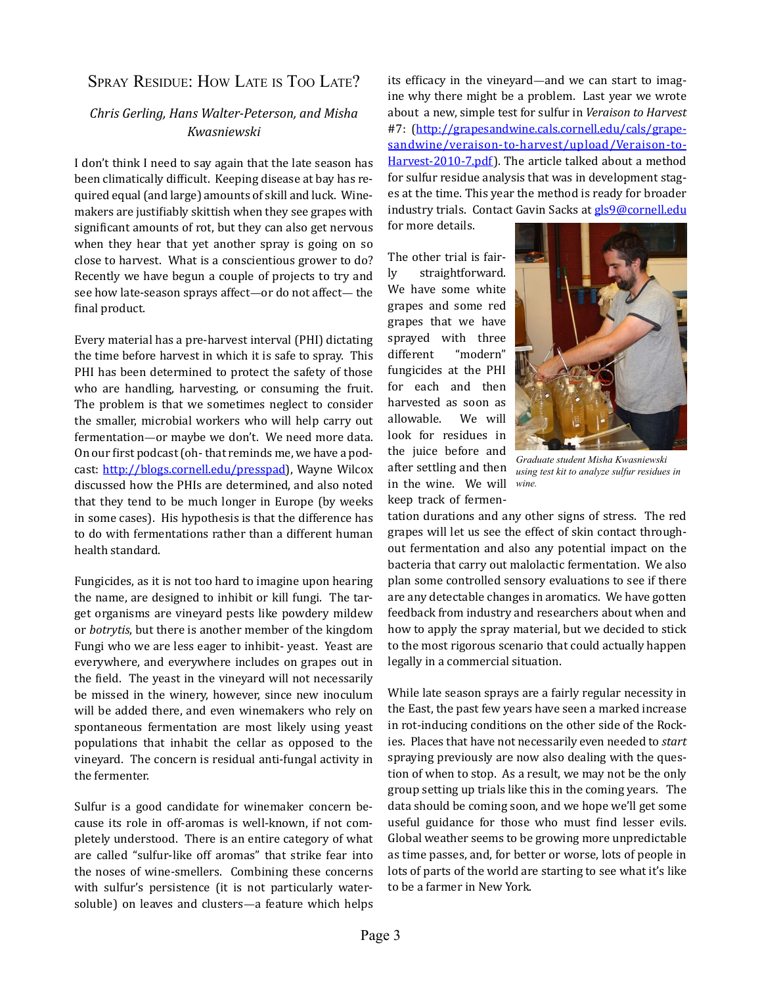### SPRAY RESIDUE: HOW LATE IS TOO LATE?

### *Chris Gerling, Hans Walter-Peterson, and Misha Kwasniewski*

I don't think I need to say again that the late season has been climatically difficult. Keeping disease at bay has required equal (and large) amounts of skill and luck. Winemakers are justifiably skittish when they see grapes with significant amounts of rot, but they can also get nervous when they hear that yet another spray is going on so close to harvest. What is a conscientious grower to do? Recently we have begun a couple of projects to try and see how late-season sprays affect—or do not affect— the final product.

Every material has a pre-harvest interval (PHI) dictating the time before harvest in which it is safe to spray. This PHI has been determined to protect the safety of those who are handling, harvesting, or consuming the fruit. The problem is that we sometimes neglect to consider the smaller, microbial workers who will help carry out fermentation—or maybe we don't. We need more data. On our first podcast (oh- that reminds me, we have a podcast: [http://blogs.cornell.edu/presspad\)](http://blogs.cornell.edu/presspad), Wayne Wilcox discussed how the PHIs are determined, and also noted that they tend to be much longer in Europe (by weeks in some cases). His hypothesis is that the difference has to do with fermentations rather than a different human health standard.

Fungicides, as it is not too hard to imagine upon hearing the name, are designed to inhibit or kill fungi. The target organisms are vineyard pests like powdery mildew or *botrytis*, but there is another member of the kingdom Fungi who we are less eager to inhibit- yeast. Yeast are everywhere, and everywhere includes on grapes out in the field. The yeast in the vineyard will not necessarily be missed in the winery, however, since new inoculum will be added there, and even winemakers who rely on spontaneous fermentation are most likely using yeast populations that inhabit the cellar as opposed to the vineyard. The concern is residual anti-fungal activity in the fermenter.

Sulfur is a good candidate for winemaker concern because its role in off-aromas is well-known, if not completely understood. There is an entire category of what are called "sulfur-like off aromas" that strike fear into the noses of wine-smellers. Combining these concerns with sulfur's persistence (it is not particularly watersoluble) on leaves and clusters—a feature which helps

its efficacy in the vineyard—and we can start to imagine why there might be a problem. Last year we wrote about a new, simple test for sulfur in *Veraison to Harvest*  #7: ([http://grapesandwine.cals.cornell.edu/cals/grape](http://grapesandwine.cals.cornell.edu/cals/grapesandwine/veraison-to-harvest/upload/Veraison-to-Harvest-2010-7.pdf)[sandwine/veraison-to-harvest/upload/Veraison-to-](http://grapesandwine.cals.cornell.edu/cals/grapesandwine/veraison-to-harvest/upload/Veraison-to-Harvest-2010-7.pdf)[Harvest-2010-7.pdf\)](http://grapesandwine.cals.cornell.edu/cals/grapesandwine/veraison-to-harvest/upload/Veraison-to-Harvest-2010-7.pdf). The article talked about a method for sulfur residue analysis that was in development stages at the time. This year the method is ready for broader industry trials. Contact Gavin Sacks at [gls9@cornell.edu](mailto:gls9@cornell.edu)

for more details.

The other trial is fairly straightforward. We have some white grapes and some red grapes that we have sprayed with three<br>different "modern" different fungicides at the PHI for each and then harvested as soon as<br>allowable. We will allowable. look for residues in the juice before and after settling and then in the wine. We will keep track of fermen-



*Graduate student Misha Kwasniewski using test kit to analyze sulfur residues in wine.*

tation durations and any other signs of stress. The red grapes will let us see the effect of skin contact throughout fermentation and also any potential impact on the bacteria that carry out malolactic fermentation. We also plan some controlled sensory evaluations to see if there are any detectable changes in aromatics. We have gotten feedback from industry and researchers about when and how to apply the spray material, but we decided to stick to the most rigorous scenario that could actually happen legally in a commercial situation.

While late season sprays are a fairly regular necessity in the East, the past few years have seen a marked increase in rot-inducing conditions on the other side of the Rockies. Places that have not necessarily even needed to *start* spraying previously are now also dealing with the question of when to stop. As a result, we may not be the only group setting up trials like this in the coming years. The data should be coming soon, and we hope we'll get some useful guidance for those who must find lesser evils. Global weather seems to be growing more unpredictable as time passes, and, for better or worse, lots of people in lots of parts of the world are starting to see what it's like to be a farmer in New York.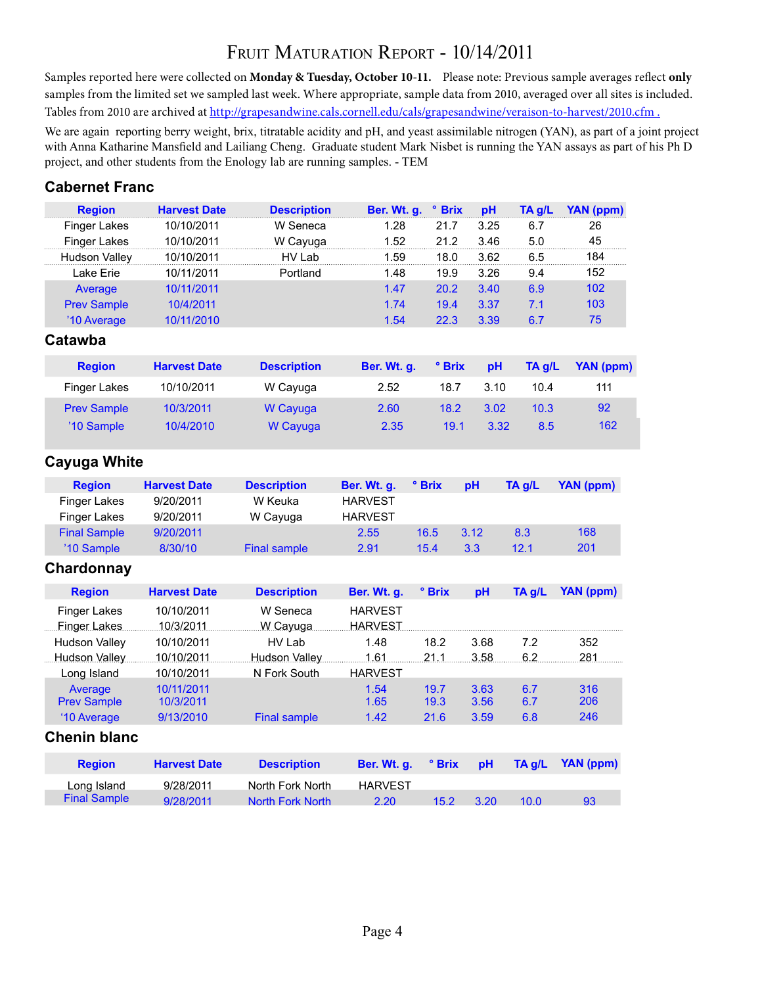# Fruit Maturation Report - 10/14/2011

Samples reported here were collected on **Monday & Tuesday, October 10-11.** Please note: Previous sample averages reflect **only** samples from the limited set we sampled last week. Where appropriate, sample data from 2010, averaged over all sites is included. Tables from 2010 are archived at http://grapesandwine.cals.cornell.edu/cals/grapesandwine/veraison-to-harvest/2010.cfm .

We are again reporting berry weight, brix, titratable acidity and pH, and yeast assimilable nitrogen (YAN), as part of a joint project with Anna Katharine Mansfield and Lailiang Cheng. Graduate student Mark Nisbet is running the YAN assays as part of his Ph D project, and other students from the Enology lab are running samples. - TEM

### **Cabernet Franc**

| <b>Region</b>        | <b>Harvest Date</b> | <b>Description</b> | Ber. Wt. g. <sup>o</sup> Brix |      | pH   | TA g/L | YAN (ppm) |
|----------------------|---------------------|--------------------|-------------------------------|------|------|--------|-----------|
| <b>Finger Lakes</b>  | 10/10/2011          | W Seneca           | 1.28                          | 21.7 | 3.25 | 6.7    | 26        |
| Finger Lakes         | 10/10/2011          | W Cayuga           | 1.52                          | 21.2 | 3.46 | 5.0    | 45        |
| <b>Hudson Valley</b> | 10/10/2011          | HV I ab            | 1.59                          | 18.0 | 3.62 | 6.5    | 184       |
| Lake Erie            | 10/11/2011          | Portland           | 1.48                          | 19.9 | 3.26 | 9.4    | 152       |
| Average              | 10/11/2011          |                    | 1.47                          | 20.2 | 3.40 | 6.9    | 102       |
| <b>Prev Sample</b>   | 10/4/2011           |                    | 1.74                          | 19.4 | 3.37 | 7.1    | 103       |
| '10 Average          | 10/11/2010          |                    | 1.54                          | 22.3 | 3.39 | 6.7    | 75        |
|                      |                     |                    |                               |      |      |        |           |

| <b>Region</b>       | <b>Harvest Date</b> | <b>Description</b> | Ber. Wt. q. | ° Brix | pH   | TA a/L | YAN (ppm) |
|---------------------|---------------------|--------------------|-------------|--------|------|--------|-----------|
| <b>Finger Lakes</b> | 10/10/2011          | W Cayuga           | 2.52        | 18.7   | 3.10 | 10.4   | 111       |
| <b>Prev Sample</b>  | 10/3/2011           | W Cayuga           | 2.60        | 18.2   | 3.02 | 10.3   | 92        |
| '10 Sample          | 10/4/2010           | W Cayuga           | 2.35        | 19.1   | 3.32 | 8.5    | 162       |

### **Cayuga White**

| <b>Region</b>       | <b>Harvest Date</b> | <b>Description</b> | Ber. Wt. q.    | $^{\circ}$ Brix | рH   | TA a/L | YAN (ppm) |
|---------------------|---------------------|--------------------|----------------|-----------------|------|--------|-----------|
| Finger Lakes        | 9/20/2011           | W Keuka            | <b>HARVEST</b> |                 |      |        |           |
| Finger Lakes        | 9/20/2011           | W Cayuga           | <b>HARVEST</b> |                 |      |        |           |
| <b>Final Sample</b> | 9/20/2011           |                    | 2.55           | 16.5            | 3.12 | 8.3    | 168       |
| '10 Sample          | 8/30/10             | Final sample       | 2.91           | 15.4            | 3.3  | 12.1   | 201       |

### **Chardonnay**

| <b>Region</b>                       | <b>Harvest Date</b>     | <b>Description</b>   | Ber. Wt. q.                      | ° Brix          | pH           | TA g/L     | YAN (ppm)        |
|-------------------------------------|-------------------------|----------------------|----------------------------------|-----------------|--------------|------------|------------------|
| <b>Finger Lakes</b><br>Finger Lakes | 10/10/2011<br>10/3/2011 | W Seneca<br>W Cayuga | <b>HARVEST</b><br><b>HARVEST</b> |                 |              |            |                  |
| Hudson Valley                       | 10/10/2011              | HV Lab               | 1.48                             | 18.2            | 3.68         | 7.2        | 352              |
| Hudson Valley                       | 10/10/2011              | Hudson Valley        | 1.61                             | .21.1           | 3.58         | 6.2        | 281              |
| Long Island                         | 10/10/2011              | N Fork South         | <b>HARVEST</b>                   |                 |              |            |                  |
| Average<br><b>Prev Sample</b>       | 10/11/2011<br>10/3/2011 |                      | 1.54<br>1.65                     | 19.7<br>19.3    | 3.63<br>3.56 | 6.7<br>6.7 | 316<br>206       |
| '10 Average                         | 9/13/2010               | <b>Final sample</b>  | 1.42                             | 21.6            | 3.59         | 6.8        | 246              |
| <b>Chenin blanc</b>                 |                         |                      |                                  |                 |              |            |                  |
| <b>Region</b>                       | <b>Harvest Date</b>     | <b>Description</b>   | Ber. Wt. a.                      | $^{\circ}$ Brix | nH           | lln AT     | <b>YAN</b> (ppm) |

| <b>Region</b>       | <b>Harvest Date</b> | <b>Description</b> | Ber. Wt. a.    | $^{\circ}$ Brix pH |      |      | TA a/L YAN (ppm) |
|---------------------|---------------------|--------------------|----------------|--------------------|------|------|------------------|
| Long Island         | 9/28/2011           | North Fork North   | <b>HARVEST</b> |                    |      |      |                  |
| <b>Final Sample</b> | 9/28/2011           | North Fork North   | 2.20           | $15.2^{\circ}$     | 3.20 | 10.0 | -93              |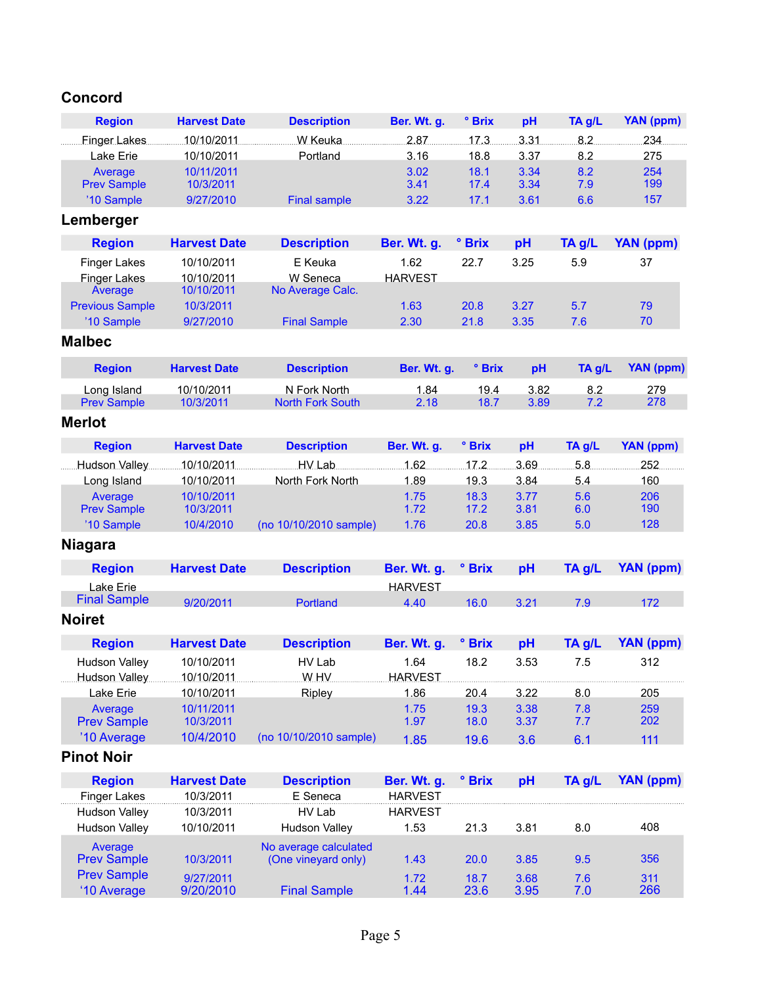# **Concord**

| <b>Region</b>          | <b>Harvest Date</b> | <b>Description</b>      | Ber. Wt. g.    | ° Brix | pH   | TA g/L | <b>YAN</b> (ppm) |
|------------------------|---------------------|-------------------------|----------------|--------|------|--------|------------------|
| <b>Finger Lakes</b>    | 10/10/2011          | W Keuka                 | 2.87           | 17.3.  | 3.31 | 8.2    | 234              |
| Lake Erie              | 10/10/2011          | Portland                | 3.16           | 18.8   | 3.37 | 8.2    | 275              |
| Average                | 10/11/2011          |                         | 3.02           | 18.1   | 3.34 | 8.2    | 254              |
| <b>Prev Sample</b>     | 10/3/2011           |                         | 3.41           | 17.4   | 3.34 | 7.9    | 199              |
| '10 Sample             | 9/27/2010           | <b>Final sample</b>     | 3.22           | 17.1   | 3.61 | 6.6    | 157              |
| Lemberger              |                     |                         |                |        |      |        |                  |
| <b>Region</b>          | <b>Harvest Date</b> | <b>Description</b>      | Ber. Wt. g.    | ° Brix | pH   | TA g/L | <b>YAN (ppm)</b> |
| <b>Finger Lakes</b>    | 10/10/2011          | E Keuka                 | 1.62           | 22.7   | 3.25 | 5.9    | 37               |
| <b>Finger Lakes</b>    | 10/10/2011          | W Seneca                | <b>HARVEST</b> |        |      |        |                  |
| Average                | 10/10/2011          | No Average Calc.        |                |        |      |        |                  |
| <b>Previous Sample</b> | 10/3/2011           |                         | 1.63           | 20.8   | 3.27 | 5.7    | 79               |
| '10 Sample             | 9/27/2010           | <b>Final Sample</b>     | 2.30           | 21.8   | 3.35 | 7.6    | 70               |
| <b>Malbec</b>          |                     |                         |                |        |      |        |                  |
| <b>Region</b>          | <b>Harvest Date</b> | <b>Description</b>      | Ber. Wt. g.    | ° Brix | pH   | TA g/L | <b>YAN (ppm)</b> |
| Long Island            | 10/10/2011          | N Fork North            | 1.84           | 19.4   | 3.82 | 8.2    | 279              |
| <b>Prev Sample</b>     | 10/3/2011           | <b>North Fork South</b> | 2.18           | 18.7   | 3.89 | 7.2    | 278              |
| <b>Merlot</b>          |                     |                         |                |        |      |        |                  |
| <b>Region</b>          | <b>Harvest Date</b> | <b>Description</b>      | Ber. Wt. g.    | ° Brix | pH   | TA g/L | YAN (ppm)        |
| Hudson Valley          | 10/10/2011          | HV Lab                  | 1.62           | 17.2   | 3.69 | 5.8    | 252              |
| Long Island            | 10/10/2011          | North Fork North        | 1.89           | 19.3   | 3.84 | 5.4    | 160              |
| Average                | 10/10/2011          |                         | 1.75           | 18.3   | 3.77 | 5.6    | 206              |
| <b>Prev Sample</b>     | 10/3/2011           |                         | 1.72           | 17.2   | 3.81 | 6.0    | 190              |
| '10 Sample             | 10/4/2010           | (no 10/10/2010 sample)  | 1.76           | 20.8   | 3.85 | 5.0    | 128              |
| <b>Niagara</b>         |                     |                         |                |        |      |        |                  |
| <b>Region</b>          | <b>Harvest Date</b> | <b>Description</b>      | Ber. Wt. g.    | ° Brix | pH   | TA g/L | <b>YAN (ppm)</b> |
| Lake Erie              |                     |                         | <b>HARVEST</b> |        |      |        |                  |
| <b>Final Sample</b>    | 9/20/2011           | Portland                | 4.40           | 16.0   | 3.21 | 7.9    | 172              |
| <b>Noiret</b>          |                     |                         |                |        |      |        |                  |
| <b>Region</b>          | <b>Harvest Date</b> | <b>Description</b>      | Ber. Wt. g.    | ° Brix | pH   | TA g/L | <b>YAN (ppm)</b> |
| <b>Hudson Vallev</b>   | 10/10/2011          | HV Lab                  | 1.64           | 18.2   | 3.53 | 7.5    | 312              |
| Hudson Valley          | 10/10/2011          | W.HV                    | <b>HARVEST</b> |        |      |        |                  |
| Lake Erie              | 10/10/2011          | Ripley                  | 1.86           | 20.4   | 3.22 | 8.0    | 205              |
| Average                | 10/11/2011          |                         | 1.75           | 19.3   | 3.38 | 7.8    | 259              |
| <b>Prev Sample</b>     | 10/3/2011           |                         | 1.97           | 18.0   | 3.37 | 7.7    | 202              |
| '10 Average            | 10/4/2010           | (no 10/10/2010 sample)  | 1.85           | 19.6   | 3.6  | 6.1    | 111              |
| <b>Pinot Noir</b>      |                     |                         |                |        |      |        |                  |
| <b>Region</b>          | <b>Harvest Date</b> | <b>Description</b>      | Ber. Wt. g.    | ° Brix | pH   | TA g/L | <b>YAN</b> (ppm) |
| <b>Finger Lakes</b>    | 10/3/2011           | E Seneca                | <b>HARVEST</b> |        |      |        |                  |
| <b>Hudson Valley</b>   | 10/3/2011           | HV Lab                  | <b>HARVEST</b> |        |      |        |                  |
| <b>Hudson Valley</b>   | 10/10/2011          | <b>Hudson Valley</b>    | 1.53           | 21.3   | 3.81 | 8.0    | 408              |
| Average                |                     | No average calculated   |                |        |      |        |                  |
| <b>Prev Sample</b>     | 10/3/2011           | (One vineyard only)     | 1.43           | 20.0   | 3.85 | 9.5    | 356              |
| <b>Prev Sample</b>     | 9/27/2011           |                         | 1.72           | 18.7   | 3.68 | 7.6    | 311              |
| '10 Average            | 9/20/2010           | <b>Final Sample</b>     | 1.44           | 23.6   | 3.95 | 7.0    | 266              |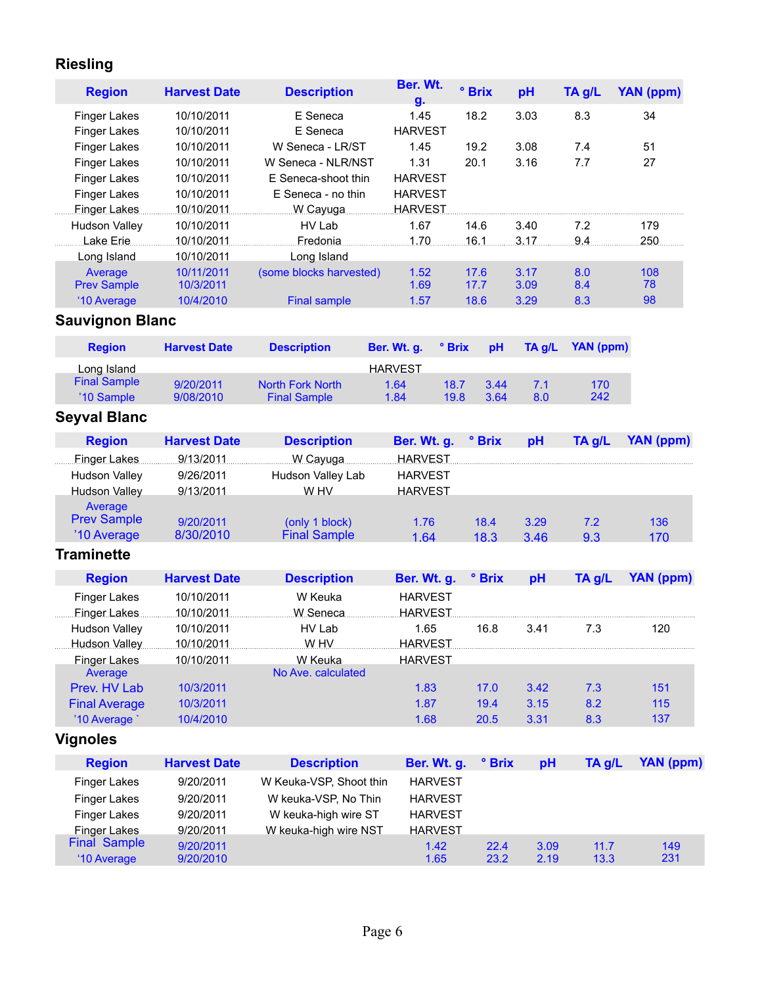# **Riesling**

| <b>Region</b>                              | <b>Harvest Date</b>      | <b>Description</b>                     | Ber. Wt.<br>g.                   | ° Brix |        | pH     | TA g/L           | <b>YAN</b> (ppm) |
|--------------------------------------------|--------------------------|----------------------------------------|----------------------------------|--------|--------|--------|------------------|------------------|
| <b>Finger Lakes</b><br><b>Finger Lakes</b> | 10/10/2011<br>10/10/2011 | E Seneca<br>E Seneca                   | 1.45<br><b>HARVEST</b>           | 18.2   |        | 3.03   | 8.3              | 34               |
| <b>Finger Lakes</b>                        | 10/10/2011               | W Seneca - LR/ST                       | 1.45                             | 19.2   |        | 3.08   | 7.4              | 51               |
| <b>Finger Lakes</b>                        | 10/10/2011               | W Seneca - NLR/NST                     | 1.31                             | 20.1   |        | 3.16   | 7.7              | 27               |
| <b>Finger Lakes</b>                        | 10/10/2011               | E Seneca-shoot thin                    | <b>HARVEST</b>                   |        |        |        |                  |                  |
| <b>Finger Lakes</b>                        | 10/10/2011               | E Seneca - no thin                     | <b>HARVEST</b>                   |        |        |        |                  |                  |
| <b>Finger Lakes</b>                        | 10/10/2011               | W Cayuga                               | <b>HARVEST</b>                   |        |        |        |                  |                  |
| <b>Hudson Valley</b>                       | 10/10/2011               | HV Lab                                 | 1.67                             | 14.6   |        | 3.40   | 7.2<br>9.4       | 179<br>250       |
| Lake Erie                                  | 10/10/2011<br>10/10/2011 | Fredonia                               | 1.70                             | 16.1   |        | 3.17   |                  |                  |
| Long Island<br>Average                     | 10/11/2011               | Long Island<br>(some blocks harvested) | 1.52                             | 17.6   |        | 3.17   | 8.0              | 108              |
| <b>Prev Sample</b>                         | 10/3/2011                |                                        | 1.69                             | 17.7   |        | 3.09   | 8.4              | 78               |
| '10 Average                                | 10/4/2010                | <b>Final sample</b>                    | 1.57                             | 18.6   |        | 3.29   | 8.3              | 98               |
| <b>Sauvignon Blanc</b>                     |                          |                                        |                                  |        |        |        |                  |                  |
| <b>Region</b>                              | <b>Harvest Date</b>      | <b>Description</b>                     | Ber. Wt. g.                      | ° Brix | pH     | TA g/L | <b>YAN (ppm)</b> |                  |
| Long Island                                |                          |                                        | <b>HARVEST</b>                   |        |        |        |                  |                  |
| <b>Final Sample</b>                        | 9/20/2011                | <b>North Fork North</b>                | 1.64                             | 18.7   | 3.44   | 7.1    | 170              |                  |
| '10 Sample                                 | 9/08/2010                | <b>Final Sample</b>                    | 1.84                             | 19.8   | 3.64   | 8.0    | 242              |                  |
| <b>Seyval Blanc</b>                        |                          |                                        |                                  |        |        |        |                  |                  |
| <b>Region</b>                              | <b>Harvest Date</b>      | <b>Description</b>                     | Ber. Wt. g.                      |        | ° Brix | pH     | TA g/L           | <b>YAN (ppm)</b> |
| <b>Finger Lakes</b>                        | 9/13/2011                | W Cayuga                               | <b>HARVEST</b>                   |        |        |        |                  |                  |
| <b>Hudson Valley</b>                       | 9/26/2011                | Hudson Valley Lab                      | <b>HARVEST</b>                   |        |        |        |                  |                  |
| <b>Hudson Valley</b>                       | 9/13/2011                | W HV                                   | <b>HARVEST</b>                   |        |        |        |                  |                  |
| Average                                    |                          |                                        |                                  |        |        |        |                  |                  |
| <b>Prev Sample</b>                         | 9/20/2011                | (only 1 block)                         | 1.76                             |        | 18.4   | 3.29   | 7.2              | 136              |
| '10 Average                                | 8/30/2010                | <b>Final Sample</b>                    | 1.64                             |        | 18.3   | 3.46   | 9.3              | 170              |
| <b>Traminette</b>                          |                          |                                        |                                  |        |        |        |                  |                  |
| <b>Region</b>                              | <b>Harvest Date</b>      | <b>Description</b>                     | Ber. Wt. g.                      |        | ° Brix | pH     | TA g/L           | <b>YAN (ppm)</b> |
| <b>Finger Lakes</b>                        | 10/10/2011               | W Keuka                                | <b>HARVEST</b>                   |        |        |        |                  |                  |
| Finger Lakes                               | 10/10/2011               | W Seneca                               | <b>HARVEST</b>                   |        |        |        |                  |                  |
| <b>Hudson Valley</b>                       | 10/10/2011               | HV Lab                                 | 1.65                             |        | 16.8   | 3.41   | 7.3              | 120              |
| Hudson Valley<br><b>Finger Lakes</b>       | 10/10/2011<br>10/10/2011 | W.HV<br>W Keuka                        | <b>HARVEST</b><br><b>HARVEST</b> |        |        |        |                  |                  |
| Average                                    |                          | No Ave. calculated                     |                                  |        |        |        |                  |                  |
| Prev. HV Lab                               | 10/3/2011                |                                        | 1.83                             |        | 17.0   | 3.42   | 7.3              | 151              |
| <b>Final Average</b>                       | 10/3/2011                |                                        | 1.87                             |        | 19.4   | 3.15   | 8.2              | 115              |
| '10 Average                                | 10/4/2010                |                                        | 1.68                             |        | 20.5   | 3.31   | 8.3              | 137              |
| <b>Vignoles</b>                            |                          |                                        |                                  |        |        |        |                  |                  |
| <b>Region</b>                              | <b>Harvest Date</b>      | <b>Description</b>                     | Ber. Wt. g.                      |        | ° Brix | pH     | TA g/L           | <b>YAN (ppm)</b> |
| <b>Finger Lakes</b>                        | 9/20/2011                | W Keuka-VSP, Shoot thin                | <b>HARVEST</b>                   |        |        |        |                  |                  |
| <b>Finger Lakes</b>                        | 9/20/2011                | W keuka-VSP, No Thin                   | <b>HARVEST</b>                   |        |        |        |                  |                  |
| <b>Finger Lakes</b>                        | 9/20/2011                | W keuka-high wire ST                   | <b>HARVEST</b>                   |        |        |        |                  |                  |
| <b>Finger Lakes</b>                        | 9/20/2011                | W keuka-high wire NST                  | <b>HARVEST</b>                   |        |        |        |                  |                  |
| <b>Final Sample</b>                        | 9/20/2011                |                                        | 1.42                             |        | 22.4   | 3.09   | 11.7             | 149              |
| '10 Average                                | 9/20/2010                |                                        | 1.65                             |        | 23.2   | 2.19   | 13.3             | 231              |